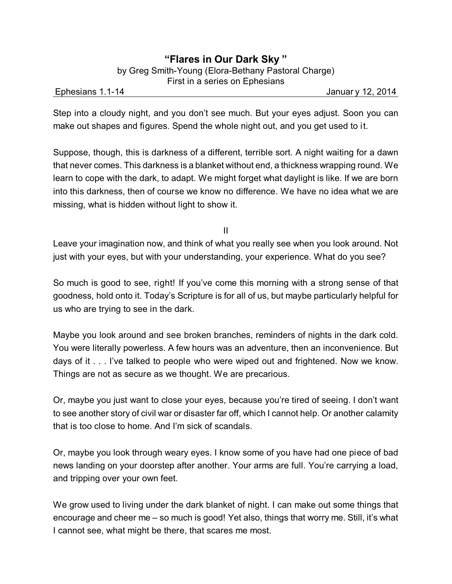Ephesians 1.1-14 Januar y 12, 2014

Step into a cloudy night, and you don't see much. But your eyes adjust. Soon you can make out shapes and figures. Spend the whole night out, and you get used to it.

Suppose, though, this is darkness of a different, terrible sort. A night waiting for a dawn that never comes. This darkness is a blanket without end, a thickness wrapping round. We learn to cope with the dark, to adapt. We might forget what daylight is like. If we are born into this darkness, then of course we know no difference. We have no idea what we are missing, what is hidden without light to show it.

II

Leave your imagination now, and think of what you really see when you look around. Not just with your eyes, but with your understanding, your experience. What do you see?

So much is good to see, right! If you've come this morning with a strong sense of that goodness, hold onto it. Today's Scripture is for all of us, but maybe particularly helpful for us who are trying to see in the dark.

Maybe you look around and see broken branches, reminders of nights in the dark cold. You were literally powerless. A few hours was an adventure, then an inconvenience. But days of it . . . I've talked to people who were wiped out and frightened. Now we know. Things are not as secure as we thought. We are precarious.

Or, maybe you just want to close your eyes, because you're tired of seeing. I don't want to see another story of civil war or disaster far off, which I cannot help. Or another calamity that is too close to home. And I'm sick of scandals.

Or, maybe you look through weary eyes. I know some of you have had one piece of bad news landing on your doorstep after another. Your arms are full. You're carrying a load, and tripping over your own feet.

We grow used to living under the dark blanket of night. I can make out some things that encourage and cheer me – so much is good! Yet also, things that worry me. Still, it's what I cannot see, what might be there, that scares me most.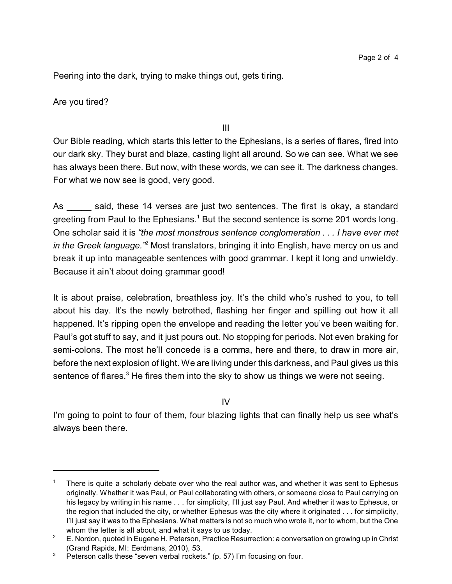Peering into the dark, trying to make things out, gets tiring.

Are you tired?

III

Our Bible reading, which starts this letter to the Ephesians, is a series of flares, fired into our dark sky. They burst and blaze, casting light all around. So we can see. What we see has always been there. But now, with these words, we can see it. The darkness changes. For what we now see is good, very good.

As \_\_\_\_\_ said, these 14 verses are just two sentences. The first is okay, a standard greeting from Paul to the Ephesians.<sup>1</sup> But the second sentence is some 201 words long. One scholar said it is *"the most monstrous sentence conglomeration . . . I have ever met in the Greek language."<sup>2</sup>* Most translators, bringing it into English, have mercy on us and break it up into manageable sentences with good grammar. I kept it long and unwieldy. Because it ain't about doing grammar good!

It is about praise, celebration, breathless joy. It's the child who's rushed to you, to tell about his day. It's the newly betrothed, flashing her finger and spilling out how it all happened. It's ripping open the envelope and reading the letter you've been waiting for. Paul's got stuff to say, and it just pours out. No stopping for periods. Not even braking for semi-colons. The most he'll concede is a comma, here and there, to draw in more air, before the next explosion of light. We are living under this darkness, and Paul gives us this sentence of flares. $3$  He fires them into the sky to show us things we were not seeing.

 $IV$ 

I'm going to point to four of them, four blazing lights that can finally help us see what's always been there.

There is quite a scholarly debate over who the real author was, and whether it was sent to Ephesus originally. Whether it was Paul, or Paul collaborating with others, or someone close to Paul carrying on his legacy by writing in his name . . . for simplicity, I'll just say Paul. And whether it was to Ephesus, or the region that included the city, or whether Ephesus was the city where it originated . . . for simplicity, I'll just say it was to the Ephesians. What matters is not so much who wrote it, nor to whom, but the One whom the letter is all about, and what it says to us today.

<sup>&</sup>lt;sup>2</sup> E. Nordon, quoted in Eugene H. Peterson, Practice Resurrection: a conversation on growing up in Christ (Grand Rapids, MI: Eerdmans, 2010), 53.

 $3$  Peterson calls these "seven verbal rockets." (p. 57) I'm focusing on four.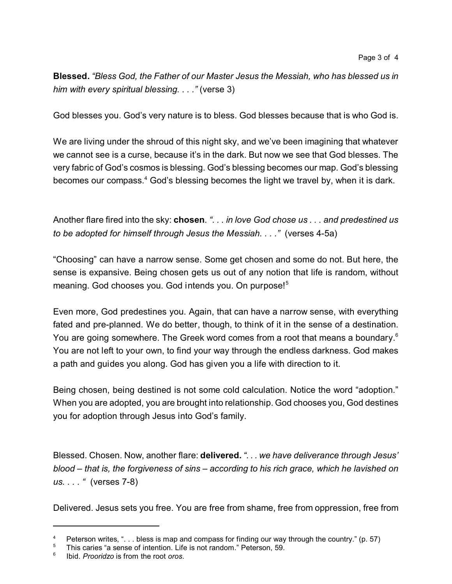**Blessed.** *"Bless God, the Father of our Master Jesus the Messiah, who has blessed us in him with every spiritual blessing. . . ."* (verse 3)

God blesses you. God's very nature is to bless. God blesses because that is who God is.

We are living under the shroud of this night sky, and we've been imagining that whatever we cannot see is a curse, because it's in the dark. But now we see that God blesses. The very fabric of God's cosmos is blessing. God's blessing becomes our map. God's blessing becomes our compass.<sup>4</sup> God's blessing becomes the light we travel by, when it is dark.

Another flare fired into the sky: **chosen**. *". . . in love God chose us . . . and predestined us to be adopted for himself through Jesus the Messiah. . . ."* (verses 4-5a)

"Choosing" can have a narrow sense. Some get chosen and some do not. But here, the sense is expansive. Being chosen gets us out of any notion that life is random, without meaning. God chooses you. God intends you. On purpose!<sup>5</sup>

Even more, God predestines you. Again, that can have a narrow sense, with everything fated and pre-planned. We do better, though, to think of it in the sense of a destination. You are going somewhere. The Greek word comes from a root that means a boundary.<sup>6</sup> You are not left to your own, to find your way through the endless darkness. God makes a path and guides you along. God has given you a life with direction to it.

Being chosen, being destined is not some cold calculation. Notice the word "adoption." When you are adopted, you are brought into relationship. God chooses you, God destines you for adoption through Jesus into God's family.

Blessed. Chosen. Now, another flare: **delivered.** *". . . we have deliverance through Jesus' blood – that is, the forgiveness of sins – according to his rich grace, which he lavished on us. . . . "* (verses 7-8)

Delivered. Jesus sets you free. You are free from shame, free from oppression, free from

<sup>&</sup>lt;sup>4</sup> Peterson writes, "... bless is map and compass for finding our way through the country." (p. 57)

<sup>5</sup> This caries "a sense of intention. Life is not random." Peterson, 59.

<sup>6</sup> Ibid. *Prooridzo* is from the root *oros*.